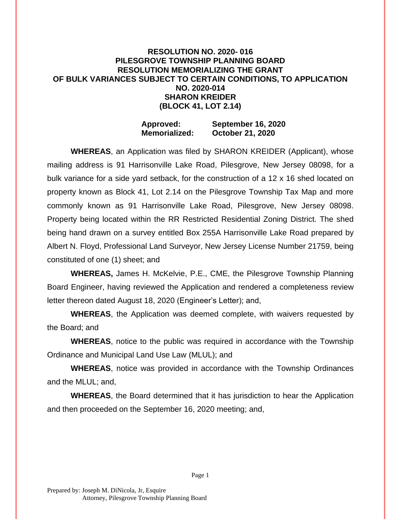## **RESOLUTION NO. 2020- 016 PILESGROVE TOWNSHIP PLANNING BOARD RESOLUTION MEMORIALIZING THE GRANT OF BULK VARIANCES SUBJECT TO CERTAIN CONDITIONS, TO APPLICATION NO. 2020-014 SHARON KREIDER (BLOCK 41, LOT 2.14)**

## **Approved: September 16, 2020 Memorialized: October 21, 2020**

**WHEREAS**, an Application was filed by SHARON KREIDER (Applicant), whose mailing address is 91 Harrisonville Lake Road, Pilesgrove, New Jersey 08098, for a bulk variance for a side yard setback, for the construction of a 12 x 16 shed located on property known as Block 41, Lot 2.14 on the Pilesgrove Township Tax Map and more commonly known as 91 Harrisonville Lake Road, Pilesgrove, New Jersey 08098. Property being located within the RR Restricted Residential Zoning District. The shed being hand drawn on a survey entitled Box 255A Harrisonville Lake Road prepared by Albert N. Floyd, Professional Land Surveyor, New Jersey License Number 21759, being constituted of one (1) sheet; and

**WHEREAS,** James H. McKelvie, P.E., CME, the Pilesgrove Township Planning Board Engineer, having reviewed the Application and rendered a completeness review letter thereon dated August 18, 2020 (Engineer's Letter); and,

**WHEREAS**, the Application was deemed complete, with waivers requested by the Board; and

**WHEREAS**, notice to the public was required in accordance with the Township Ordinance and Municipal Land Use Law (MLUL); and

**WHEREAS**, notice was provided in accordance with the Township Ordinances and the MLUL; and,

**WHEREAS**, the Board determined that it has jurisdiction to hear the Application and then proceeded on the September 16, 2020 meeting; and,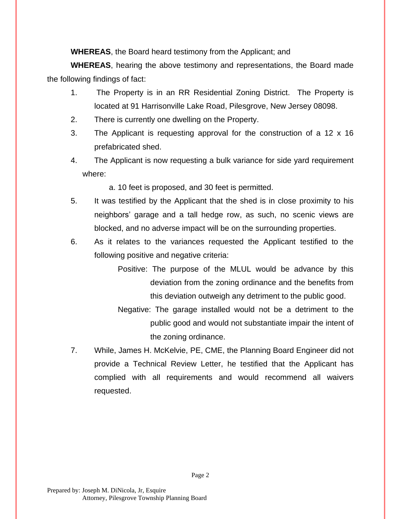**WHEREAS**, the Board heard testimony from the Applicant; and

**WHEREAS**, hearing the above testimony and representations, the Board made the following findings of fact:

- 1. The Property is in an RR Residential Zoning District. The Property is located at 91 Harrisonville Lake Road, Pilesgrove, New Jersey 08098.
- 2. There is currently one dwelling on the Property.
- 3. The Applicant is requesting approval for the construction of a 12 x 16 prefabricated shed.
- 4. The Applicant is now requesting a bulk variance for side yard requirement where:

a. 10 feet is proposed, and 30 feet is permitted.

- 5. It was testified by the Applicant that the shed is in close proximity to his neighbors' garage and a tall hedge row, as such, no scenic views are blocked, and no adverse impact will be on the surrounding properties.
- 6. As it relates to the variances requested the Applicant testified to the following positive and negative criteria:
	- Positive: The purpose of the MLUL would be advance by this deviation from the zoning ordinance and the benefits from this deviation outweigh any detriment to the public good.
	- Negative: The garage installed would not be a detriment to the public good and would not substantiate impair the intent of the zoning ordinance.
- 7. While, James H. McKelvie, PE, CME, the Planning Board Engineer did not provide a Technical Review Letter, he testified that the Applicant has complied with all requirements and would recommend all waivers requested.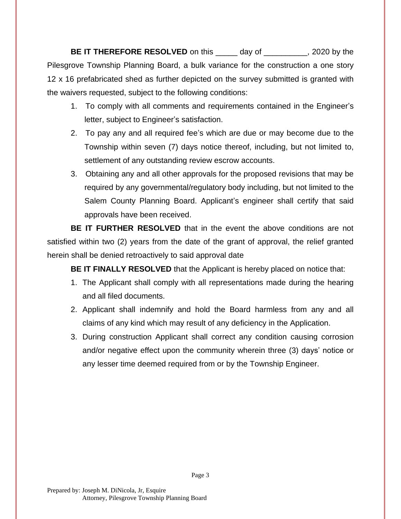**BE IT THEREFORE RESOLVED** on this \_\_\_\_\_ day of \_\_\_\_\_\_\_\_\_, 2020 by the Pilesgrove Township Planning Board, a bulk variance for the construction a one story 12 x 16 prefabricated shed as further depicted on the survey submitted is granted with the waivers requested, subject to the following conditions:

- 1. To comply with all comments and requirements contained in the Engineer's letter, subject to Engineer's satisfaction.
- 2. To pay any and all required fee's which are due or may become due to the Township within seven (7) days notice thereof, including, but not limited to, settlement of any outstanding review escrow accounts.
- 3. Obtaining any and all other approvals for the proposed revisions that may be required by any governmental/regulatory body including, but not limited to the Salem County Planning Board. Applicant's engineer shall certify that said approvals have been received.

**BE IT FURTHER RESOLVED** that in the event the above conditions are not satisfied within two (2) years from the date of the grant of approval, the relief granted herein shall be denied retroactively to said approval date

**BE IT FINALLY RESOLVED** that the Applicant is hereby placed on notice that:

- 1. The Applicant shall comply with all representations made during the hearing and all filed documents.
- 2. Applicant shall indemnify and hold the Board harmless from any and all claims of any kind which may result of any deficiency in the Application.
- 3. During construction Applicant shall correct any condition causing corrosion and/or negative effect upon the community wherein three (3) days' notice or any lesser time deemed required from or by the Township Engineer.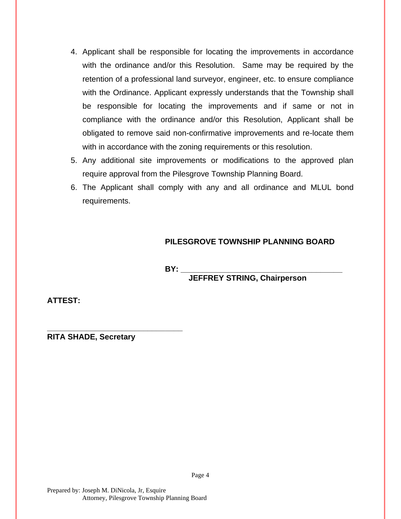- 4. Applicant shall be responsible for locating the improvements in accordance with the ordinance and/or this Resolution. Same may be required by the retention of a professional land surveyor, engineer, etc. to ensure compliance with the Ordinance. Applicant expressly understands that the Township shall be responsible for locating the improvements and if same or not in compliance with the ordinance and/or this Resolution, Applicant shall be obligated to remove said non-confirmative improvements and re-locate them with in accordance with the zoning requirements or this resolution.
- 5. Any additional site improvements or modifications to the approved plan require approval from the Pilesgrove Township Planning Board.
- 6. The Applicant shall comply with any and all ordinance and MLUL bond requirements.

## **PILESGROVE TOWNSHIP PLANNING BOARD**

**BY: \_\_\_\_\_\_\_\_\_\_\_\_\_\_\_\_\_\_\_\_\_\_\_\_\_\_\_\_\_\_\_\_\_\_\_\_\_**

**JEFFREY STRING, Chairperson**

**ATTEST:**

**RITA SHADE, Secretary**

**\_\_\_\_\_\_\_\_\_\_\_\_\_\_\_\_\_\_\_\_\_\_\_\_\_\_\_\_\_\_\_**